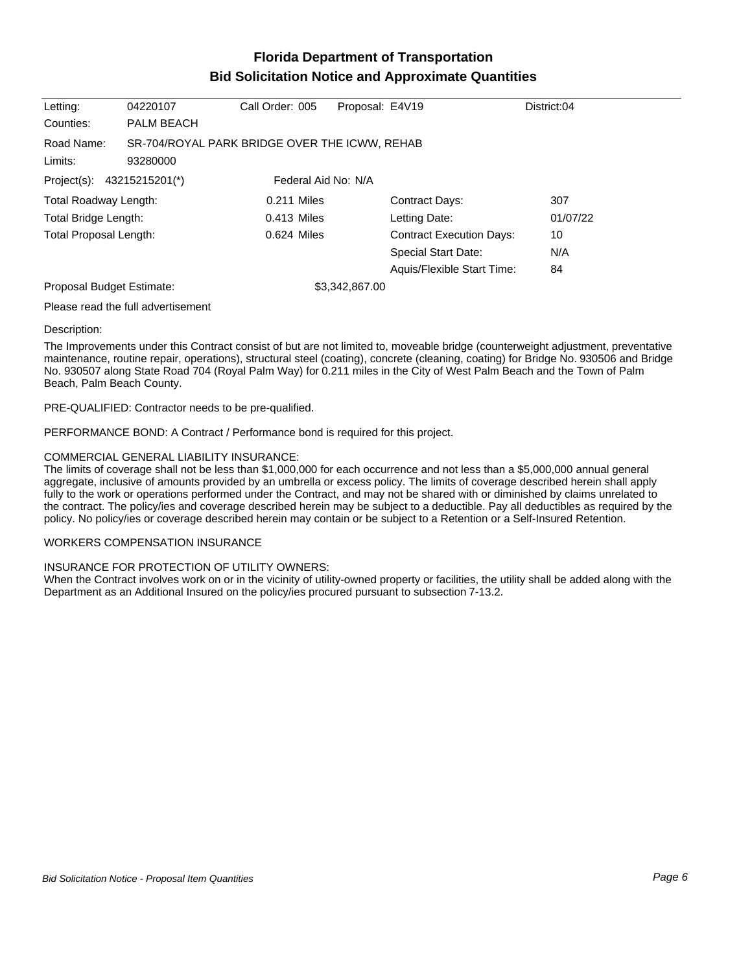## **Florida Department of Transportation Bid Solicitation Notice and Approximate Quantities**

| Letting:                      | 04220107                                                  | Call Order: 005     | Proposal: E4V19 |                                 | District:04 |
|-------------------------------|-----------------------------------------------------------|---------------------|-----------------|---------------------------------|-------------|
| Counties:                     | <b>PALM BEACH</b>                                         |                     |                 |                                 |             |
| Road Name:<br>Limits:         | SR-704/ROYAL PARK BRIDGE OVER THE ICWW, REHAB<br>93280000 |                     |                 |                                 |             |
| Project(s): 43215215201(*)    |                                                           | Federal Aid No: N/A |                 |                                 |             |
| Total Roadway Length:         |                                                           | $0.211$ Miles       |                 | <b>Contract Days:</b>           | 307         |
| Total Bridge Length:          |                                                           | $0.413$ Miles       |                 | Letting Date:                   | 01/07/22    |
| <b>Total Proposal Length:</b> |                                                           | $0.624$ Miles       |                 | <b>Contract Execution Days:</b> | 10          |
|                               |                                                           |                     |                 | <b>Special Start Date:</b>      | N/A         |
|                               |                                                           |                     |                 | Aquis/Flexible Start Time:      | 84          |
| Proposal Budget Estimate:     |                                                           |                     | \$3,342,867.00  |                                 |             |
|                               | .                                                         |                     |                 |                                 |             |

Please read the full advertisement

### Description:

The Improvements under this Contract consist of but are not limited to, moveable bridge (counterweight adjustment, preventative maintenance, routine repair, operations), structural steel (coating), concrete (cleaning, coating) for Bridge No. 930506 and Bridge No. 930507 along State Road 704 (Royal Palm Way) for 0.211 miles in the City of West Palm Beach and the Town of Palm Beach, Palm Beach County.

PRE-QUALIFIED: Contractor needs to be pre-qualified.

PERFORMANCE BOND: A Contract / Performance bond is required for this project.

### COMMERCIAL GENERAL LIABILITY INSURANCE:

The limits of coverage shall not be less than \$1,000,000 for each occurrence and not less than a \$5,000,000 annual general aggregate, inclusive of amounts provided by an umbrella or excess policy. The limits of coverage described herein shall apply fully to the work or operations performed under the Contract, and may not be shared with or diminished by claims unrelated to the contract. The policy/ies and coverage described herein may be subject to a deductible. Pay all deductibles as required by the policy. No policy/ies or coverage described herein may contain or be subject to a Retention or a Self-Insured Retention.

### WORKERS COMPENSATION INSURANCE

### INSURANCE FOR PROTECTION OF UTILITY OWNERS:

When the Contract involves work on or in the vicinity of utility-owned property or facilities, the utility shall be added along with the Department as an Additional Insured on the policy/ies procured pursuant to subsection 7-13.2.